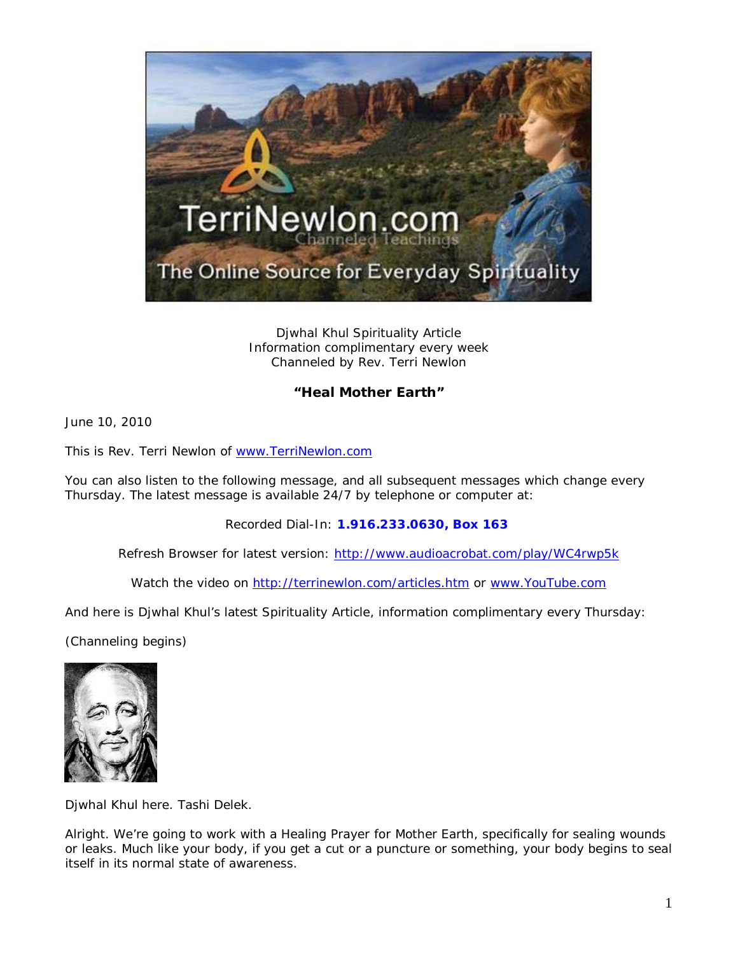

Djwhal Khul Spirituality Article Information complimentary every week Channeled by Rev. Terri Newlon

## **"Heal Mother Earth"**

June 10, 2010

This is Rev. Terri Newlon of [www.TerriNewlon.com](http://www.terrinewlon.com/)

You can also listen to the following message, and all subsequent messages which change every Thursday. The latest message is available 24/7 by telephone or computer at:

Recorded Dial-In: **1.916.233.0630, Box 163**

Refresh Browser for latest version: <http://www.audioacrobat.com/play/WC4rwp5k>

Watch the video on<http://terrinewlon.com/articles.htm> or [www.YouTube.com](http://www.youtube.com/)

And here is Djwhal Khul's latest Spirituality Article, information complimentary every Thursday:

(Channeling begins)



Djwhal Khul here. Tashi Delek.

Alright. We're going to work with a Healing Prayer for Mother Earth, specifically for sealing wounds or leaks. Much like your body, if you get a cut or a puncture or something, your body begins to seal itself in its normal state of awareness.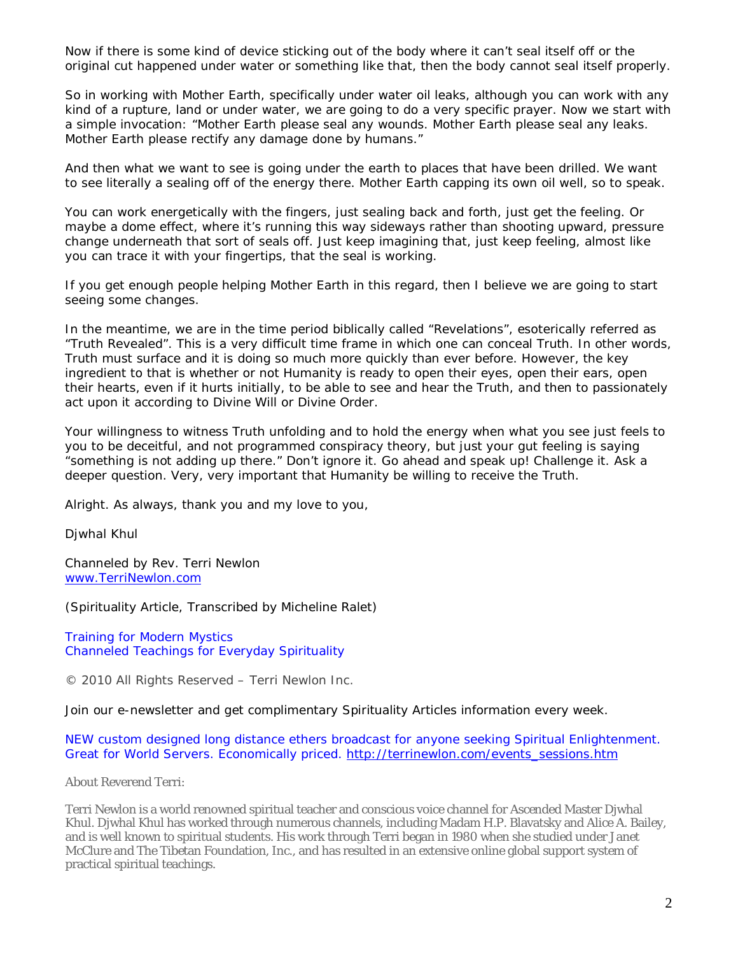Now if there is some kind of device sticking out of the body where it can't seal itself off or the original cut happened under water or something like that, then the body cannot seal itself properly.

So in working with Mother Earth, specifically under water oil leaks, although you can work with any kind of a rupture, land or under water, we are going to do a very specific prayer. Now we start with a simple invocation: "Mother Earth please seal any wounds. Mother Earth please seal any leaks. Mother Earth please rectify any damage done by humans."

And then what we want to see is going under the earth to places that have been drilled. We want to see literally a sealing off of the energy there. Mother Earth capping its own oil well, so to speak.

You can work energetically with the fingers, just sealing back and forth, just get the feeling. Or maybe a dome effect, where it's running this way sideways rather than shooting upward, pressure change underneath that sort of seals off. Just keep imagining that, just keep feeling, almost like you can trace it with your fingertips, that the seal is working.

If you get enough people helping Mother Earth in this regard, then I believe we are going to start seeing some changes.

In the meantime, we are in the time period biblically called "Revelations", esoterically referred as "Truth Revealed". This is a very difficult time frame in which one can conceal Truth. In other words, Truth must surface and it is doing so much more quickly than ever before. However, the key ingredient to that is whether or not Humanity is ready to open their eyes, open their ears, open their hearts, even if it hurts initially, to be able to see and hear the Truth, and then to passionately act upon it according to Divine Will or Divine Order.

Your willingness to witness Truth unfolding and to hold the energy when what you see just feels to you to be deceitful, and not programmed conspiracy theory, but just your gut feeling is saying "something is not adding up there." Don't ignore it. Go ahead and speak up! Challenge it. Ask a deeper question. Very, very important that Humanity be willing to receive the Truth.

Alright. As always, thank you and my love to you,

Djwhal Khul

Channeled by Rev. Terri Newlon [www.TerriNewlon.com](http://www.terrinewlon.com/)

(Spirituality Article, Transcribed by Micheline Ralet)

Training for Modern Mystics [Channeled Teachings for Everyday Spirituality](http://www.terrinewlon.com/)

© 2010 All Rights Reserved – Terri Newlon Inc.

Join our e-newsletter and get complimentary Spirituality Articles information every week.

NEW custom designed long distance ethers broadcast for anyone seeking Spiritual Enlightenment. Great for World Servers. Economically priced. [http://terrinewlon.com/events\\_sessions.htm](http://terrinewlon.com/events_sessions.htm)

About Reverend Terri:

Terri Newlon is a world renowned spiritual teacher and conscious voice channel for Ascended Master Djwhal Khul. Djwhal Khul has worked through numerous channels, including Madam H.P. Blavatsky and Alice A. Bailey, and is well known to spiritual students. His work through Terri began in 1980 when she studied under Janet McClure and The Tibetan Foundation, Inc., and has resulted in an extensive online global support system of practical spiritual teachings.